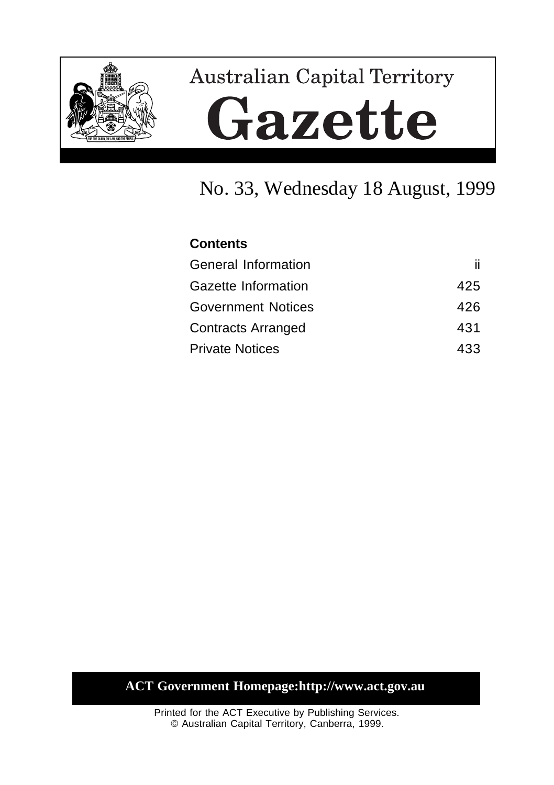

# **Australian Capital Territory** Gazette

# No. 33, Wednesday 18 August, 1999

# **Contents** General Information iii Gazette Information **425** Government Notices 426 Contracts Arranged 431 Private Notices 433

## **ACT Government Homepage:http://www.act.gov.au**

Printed for the ACT Executive by Publishing Services. © Australian Capital Territory, Canberra, 1999.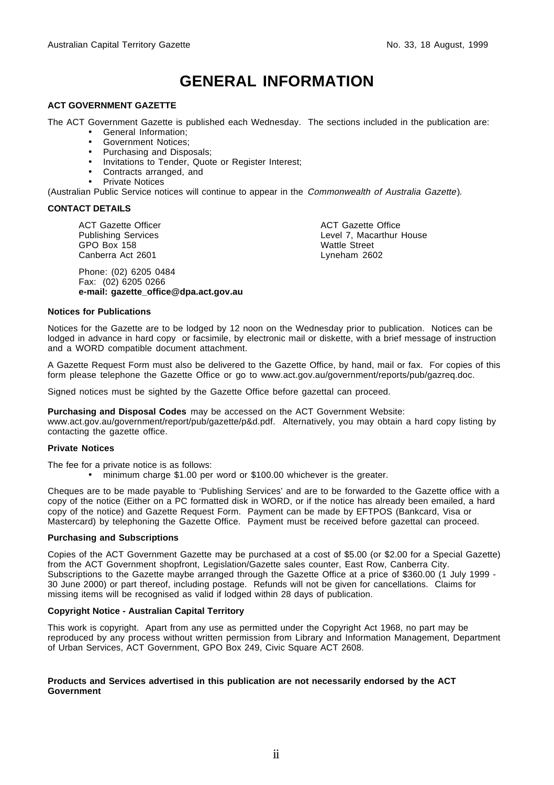# **GENERAL INFORMATION**

#### **ACT GOVERNMENT GAZETTE**

The ACT Government Gazette is published each Wednesday. The sections included in the publication are:

- General Information;
- Government Notices;
- Purchasing and Disposals;
- Invitations to Tender, Quote or Register Interest;
- Contracts arranged, and
- Private Notices

(Australian Public Service notices will continue to appear in the Commonwealth of Australia Gazette).

#### **CONTACT DETAILS**

ACT Gazette Officer Publishing Services GPO Box 158 Canberra Act 2601

Phone: (02) 6205 0484 Fax: (02) 6205 0266 **e-mail: gazette\_office@dpa.act.gov.au** ACT Gazette Office Level 7, Macarthur House Wattle Street Lyneham 2602

#### **Notices for Publications**

Notices for the Gazette are to be lodged by 12 noon on the Wednesday prior to publication. Notices can be lodged in advance in hard copy or facsimile, by electronic mail or diskette, with a brief message of instruction and a WORD compatible document attachment.

A Gazette Request Form must also be delivered to the Gazette Office, by hand, mail or fax. For copies of this form please telephone the Gazette Office or go to www.act.gov.au/government/reports/pub/gazreq.doc.

Signed notices must be sighted by the Gazette Office before gazettal can proceed.

**Purchasing and Disposal Codes** may be accessed on the ACT Government Website:

www.act.gov.au/government/report/pub/gazette/p&d.pdf. Alternatively, you may obtain a hard copy listing by contacting the gazette office.

#### **Private Notices**

The fee for a private notice is as follows:

• minimum charge \$1.00 per word or \$100.00 whichever is the greater.

Cheques are to be made payable to 'Publishing Services' and are to be forwarded to the Gazette office with a copy of the notice (Either on a PC formatted disk in WORD, or if the notice has already been emailed, a hard copy of the notice) and Gazette Request Form. Payment can be made by EFTPOS (Bankcard, Visa or Mastercard) by telephoning the Gazette Office. Payment must be received before gazettal can proceed.

#### **Purchasing and Subscriptions**

Copies of the ACT Government Gazette may be purchased at a cost of \$5.00 (or \$2.00 for a Special Gazette) from the ACT Government shopfront, Legislation/Gazette sales counter, East Row, Canberra City. Subscriptions to the Gazette maybe arranged through the Gazette Office at a price of \$360.00 (1 July 1999 -30 June 2000) or part thereof, including postage. Refunds will not be given for cancellations. Claims for missing items will be recognised as valid if lodged within 28 days of publication.

#### **Copyright Notice - Australian Capital Territory**

This work is copyright. Apart from any use as permitted under the Copyright Act 1968, no part may be reproduced by any process without written permission from Library and Information Management, Department of Urban Services, ACT Government, GPO Box 249, Civic Square ACT 2608.

#### **Products and Services advertised in this publication are not necessarily endorsed by the ACT Government**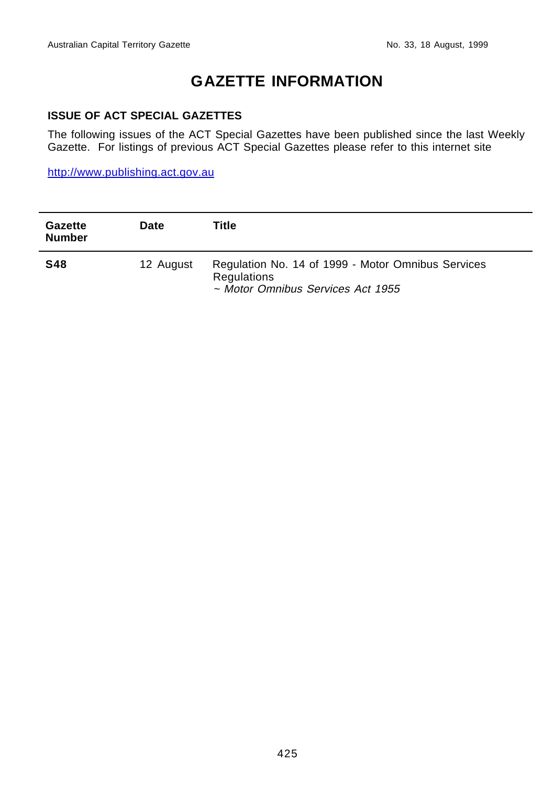# **GAZETTE INFORMATION**

#### **ISSUE OF ACT SPECIAL GAZETTES**

The following issues of the ACT Special Gazettes have been published since the last Weekly Gazette. For listings of previous ACT Special Gazettes please refer to this internet site

http://www.publishing.act.gov.au

| <b>Gazette</b><br><b>Number</b> | Date      | Title                                                                                                  |
|---------------------------------|-----------|--------------------------------------------------------------------------------------------------------|
| <b>S48</b>                      | 12 August | Regulation No. 14 of 1999 - Motor Omnibus Services<br>Regulations<br>~ Motor Omnibus Services Act 1955 |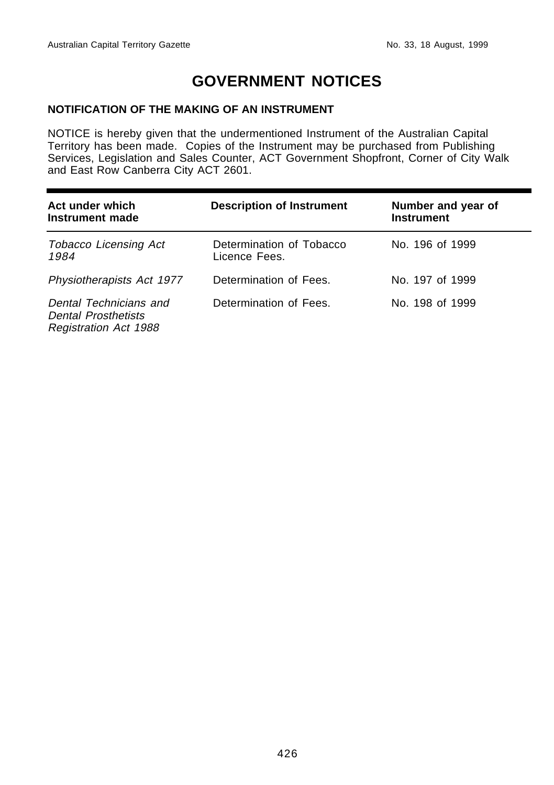# **GOVERNMENT NOTICES**

### **NOTIFICATION OF THE MAKING OF AN INSTRUMENT**

NOTICE is hereby given that the undermentioned Instrument of the Australian Capital Territory has been made. Copies of the Instrument may be purchased from Publishing Services, Legislation and Sales Counter, ACT Government Shopfront, Corner of City Walk and East Row Canberra City ACT 2601.

| Act under which<br>Instrument made                                                   | <b>Description of Instrument</b>          | Number and year of<br><b>Instrument</b> |
|--------------------------------------------------------------------------------------|-------------------------------------------|-----------------------------------------|
| <b>Tobacco Licensing Act</b><br>1984                                                 | Determination of Tobacco<br>Licence Fees. | No. 196 of 1999                         |
| Physiotherapists Act 1977                                                            | Determination of Fees.                    | No. 197 of 1999                         |
| Dental Technicians and<br><b>Dental Prosthetists</b><br><b>Registration Act 1988</b> | Determination of Fees.                    | No. 198 of 1999                         |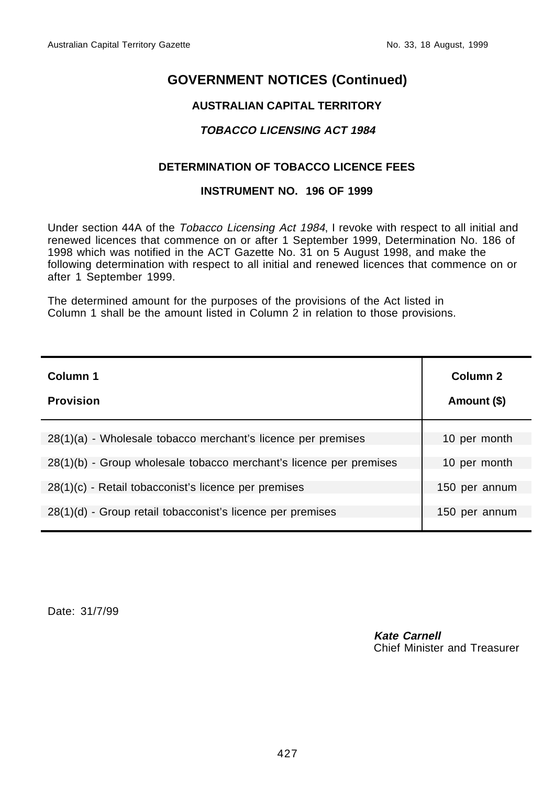## **AUSTRALIAN CAPITAL TERRITORY**

## **TOBACCO LICENSING ACT 1984**

## **DETERMINATION OF TOBACCO LICENCE FEES**

#### **INSTRUMENT NO. 196 OF 1999**

Under section 44A of the Tobacco Licensing Act 1984, I revoke with respect to all initial and renewed licences that commence on or after 1 September 1999, Determination No. 186 of 1998 which was notified in the ACT Gazette No. 31 on 5 August 1998, and make the following determination with respect to all initial and renewed licences that commence on or after 1 September 1999.

The determined amount for the purposes of the provisions of the Act listed in Column 1 shall be the amount listed in Column 2 in relation to those provisions.

| Column 1<br><b>Provision</b>                                       | Column <sub>2</sub><br>Amount (\$) |
|--------------------------------------------------------------------|------------------------------------|
| 28(1)(a) - Wholesale tobacco merchant's licence per premises       | 10 per month                       |
| 28(1)(b) - Group wholesale tobacco merchant's licence per premises | 10 per month                       |
| $28(1)(c)$ - Retail tobacconist's licence per premises             | 150 per annum                      |
| 28(1)(d) - Group retail tobacconist's licence per premises         | 150 per annum                      |

Date: 31/7/99

**Kate Carnell** Chief Minister and Treasurer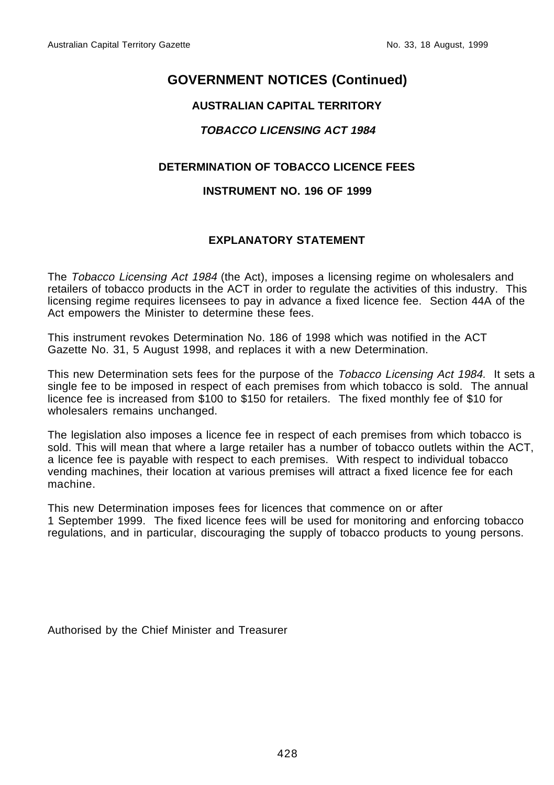## **AUSTRALIAN CAPITAL TERRITORY**

## **TOBACCO LICENSING ACT 1984**

## **DETERMINATION OF TOBACCO LICENCE FEES**

#### **INSTRUMENT NO. 196 OF 1999**

## **EXPLANATORY STATEMENT**

The Tobacco Licensing Act 1984 (the Act), imposes a licensing regime on wholesalers and retailers of tobacco products in the ACT in order to regulate the activities of this industry. This licensing regime requires licensees to pay in advance a fixed licence fee. Section 44A of the Act empowers the Minister to determine these fees.

This instrument revokes Determination No. 186 of 1998 which was notified in the ACT Gazette No. 31, 5 August 1998, and replaces it with a new Determination.

This new Determination sets fees for the purpose of the *Tobacco Licensing Act 1984.* It sets a single fee to be imposed in respect of each premises from which tobacco is sold. The annual licence fee is increased from \$100 to \$150 for retailers. The fixed monthly fee of \$10 for wholesalers remains unchanged.

The legislation also imposes a licence fee in respect of each premises from which tobacco is sold. This will mean that where a large retailer has a number of tobacco outlets within the ACT, a licence fee is payable with respect to each premises. With respect to individual tobacco vending machines, their location at various premises will attract a fixed licence fee for each machine.

This new Determination imposes fees for licences that commence on or after 1 September 1999. The fixed licence fees will be used for monitoring and enforcing tobacco regulations, and in particular, discouraging the supply of tobacco products to young persons.

Authorised by the Chief Minister and Treasurer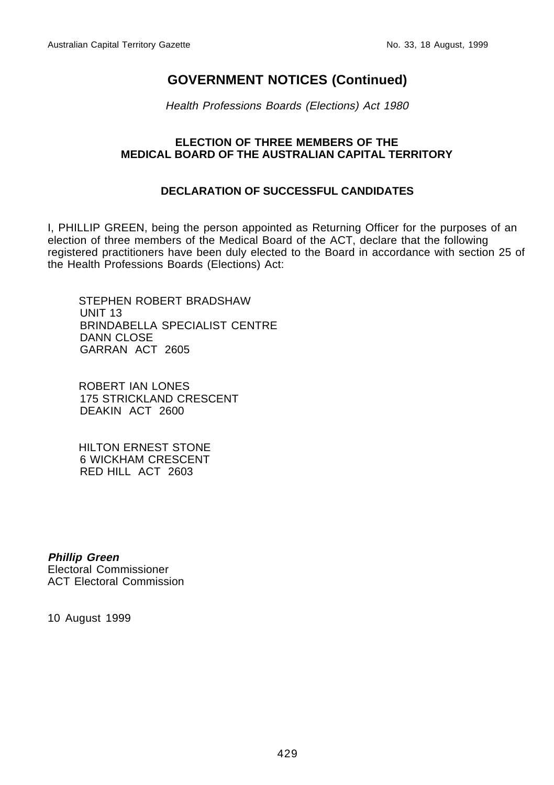Health Professions Boards (Elections) Act 1980

### **ELECTION OF THREE MEMBERS OF THE MEDICAL BOARD OF THE AUSTRALIAN CAPITAL TERRITORY**

### **DECLARATION OF SUCCESSFUL CANDIDATES**

I, PHILLIP GREEN, being the person appointed as Returning Officer for the purposes of an election of three members of the Medical Board of the ACT, declare that the following registered practitioners have been duly elected to the Board in accordance with section 25 of the Health Professions Boards (Elections) Act:

STEPHEN ROBERT BRADSHAW UNIT 13 BRINDABELLA SPECIALIST CENTRE DANN CLOSE GARRAN ACT 2605

ROBERT IAN LONES 175 STRICKLAND CRESCENT DEAKIN ACT 2600

HILTON ERNEST STONE 6 WICKHAM CRESCENT RED HILL ACT 2603

**Phillip Green** Electoral Commissioner ACT Electoral Commission

10 August 1999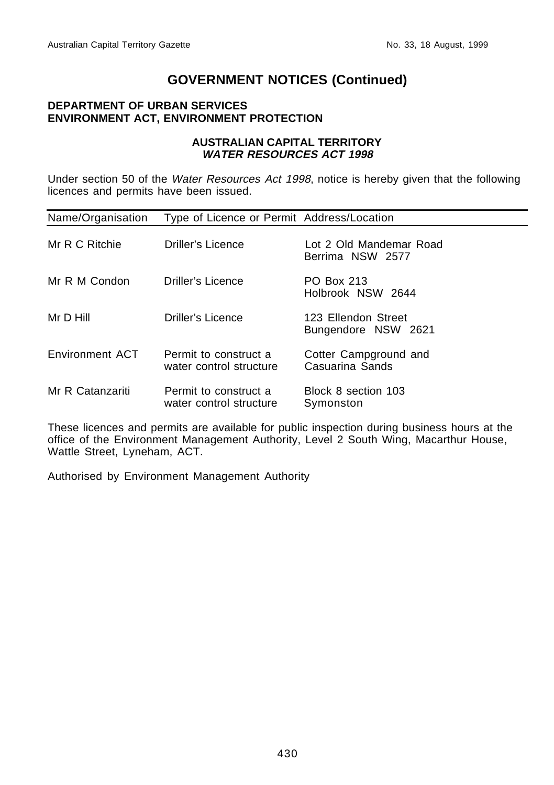### **DEPARTMENT OF URBAN SERVICES ENVIRONMENT ACT, ENVIRONMENT PROTECTION**

#### **AUSTRALIAN CAPITAL TERRITORY WATER RESOURCES ACT 1998**

Under section 50 of the Water Resources Act 1998, notice is hereby given that the following licences and permits have been issued.

| Name/Organisation | Type of Licence or Permit Address/Location       |                                             |
|-------------------|--------------------------------------------------|---------------------------------------------|
| Mr R C Ritchie    | Driller's Licence                                | Lot 2 Old Mandemar Road<br>Berrima NSW 2577 |
| Mr R M Condon     | Driller's Licence                                | <b>PO Box 213</b><br>Holbrook NSW 2644      |
| Mr D Hill         | Driller's Licence                                | 123 Ellendon Street<br>Bungendore NSW 2621  |
| Environment ACT   | Permit to construct a<br>water control structure | Cotter Campground and<br>Casuarina Sands    |
| Mr R Catanzariti  | Permit to construct a<br>water control structure | Block 8 section 103<br>Symonston            |

These licences and permits are available for public inspection during business hours at the office of the Environment Management Authority, Level 2 South Wing, Macarthur House, Wattle Street, Lyneham, ACT.

Authorised by Environment Management Authority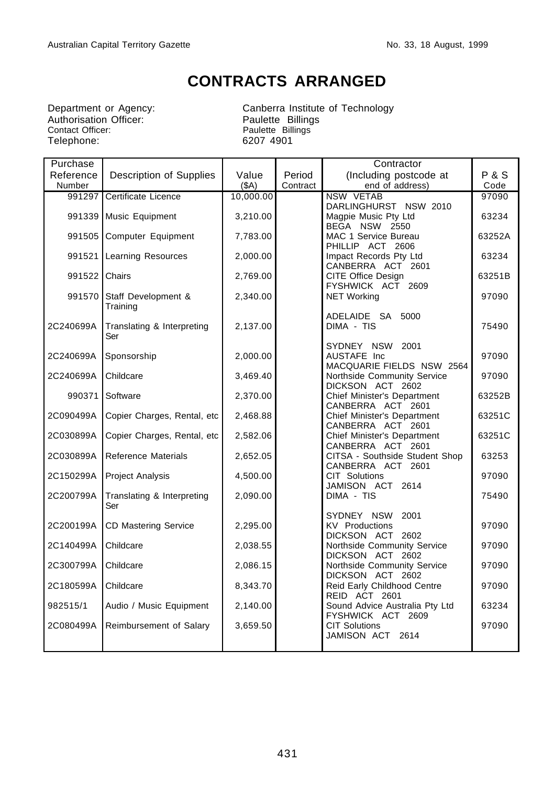# **CONTRACTS ARRANGED**

Department or Agency:<br>Authorisation Officer:<br>Contact Officer: Contact Officer: **Paulette Billings** Telephone: 6207 4901

Department or Agency: Canberra Institute of Technology

| Purchase      |                                        |           |          | Contractor                                              |                |
|---------------|----------------------------------------|-----------|----------|---------------------------------------------------------|----------------|
| Reference     | Description of Supplies                | Value     | Period   | (Including postcode at                                  | <b>P&amp;S</b> |
| Number        |                                        | (SA)      | Contract | end of address)                                         | Code           |
| 991297        | Certificate Licence                    | 10,000.00 |          | <b>NSW VETAB</b>                                        | 97090          |
|               |                                        |           |          | DARLINGHURST NSW 2010                                   |                |
|               | 991339 Music Equipment                 | 3,210.00  |          | Magpie Music Pty Ltd                                    | 63234          |
|               |                                        |           |          | BEGA NSW 2550                                           |                |
| 991505        | Computer Equipment                     | 7,783.00  |          | MAC 1 Service Bureau                                    | 63252A         |
|               |                                        |           |          | PHILLIP ACT 2606                                        |                |
| 991521        | <b>Learning Resources</b>              | 2,000.00  |          | Impact Records Pty Ltd                                  | 63234          |
|               |                                        |           |          | CANBERRA ACT 2601                                       |                |
| 991522 Chairs |                                        | 2,769.00  |          | <b>CITE Office Design</b>                               | 63251B         |
|               |                                        | 2,340.00  |          | FYSHWICK ACT 2609<br><b>NET Working</b>                 | 97090          |
|               | 991570 Staff Development &<br>Training |           |          |                                                         |                |
|               |                                        |           |          | ADELAIDE SA 5000                                        |                |
| 2C240699A     | Translating & Interpreting             | 2,137.00  |          | DIMA - TIS                                              | 75490          |
|               | Ser                                    |           |          |                                                         |                |
|               |                                        |           |          | SYDNEY NSW 2001                                         |                |
| 2C240699A     | Sponsorship                            | 2,000.00  |          | AUSTAFE Inc                                             | 97090          |
|               |                                        |           |          | MACQUARIE FIELDS NSW 2564                               |                |
| 2C240699A     | Childcare                              | 3,469.40  |          | Northside Community Service                             | 97090          |
|               |                                        |           |          | DICKSON ACT 2602                                        |                |
| 990371        | Software                               | 2,370.00  |          | Chief Minister's Department                             | 63252B         |
|               |                                        |           |          | CANBERRA ACT 2601                                       |                |
| 2C090499A     | Copier Charges, Rental, etc            | 2,468.88  |          | <b>Chief Minister's Department</b><br>CANBERRA ACT 2601 | 63251C         |
| 2C030899A     | Copier Charges, Rental, etc.           | 2,582.06  |          | Chief Minister's Department                             | 63251C         |
|               |                                        |           |          | CANBERRA ACT 2601                                       |                |
| 2C030899A     | <b>Reference Materials</b>             | 2,652.05  |          | CITSA - Southside Student Shop                          | 63253          |
|               |                                        |           |          | CANBERRA ACT 2601                                       |                |
| 2C150299A     | <b>Project Analysis</b>                | 4,500.00  |          | CIT Solutions                                           | 97090          |
|               |                                        |           |          | JAMISON ACT 2614                                        |                |
| 2C200799A     | Translating & Interpreting             | 2,090.00  |          | DIMA - TIS                                              | 75490          |
|               | Ser                                    |           |          |                                                         |                |
|               |                                        |           |          | SYDNEY NSW 2001                                         |                |
| 2C200199A     | <b>CD Mastering Service</b>            | 2,295.00  |          | <b>KV</b> Productions                                   | 97090          |
|               |                                        |           |          | DICKSON ACT 2602                                        |                |
| 2C140499A     | Childcare                              | 2,038.55  |          | Northside Community Service                             | 97090          |
| 2C300799A     | Childcare                              | 2,086.15  |          | DICKSON ACT 2602<br>Northside Community Service         | 97090          |
|               |                                        |           |          | DICKSON ACT 2602                                        |                |
| 2C180599A     | Childcare                              | 8,343.70  |          | Reid Early Childhood Centre                             | 97090          |
|               |                                        |           |          | REID ACT 2601                                           |                |
| 982515/1      | Audio / Music Equipment                | 2,140.00  |          | Sound Advice Australia Pty Ltd                          | 63234          |
|               |                                        |           |          | FYSHWICK ACT 2609                                       |                |
| 2C080499A     | Reimbursement of Salary                | 3,659.50  |          | <b>CIT Solutions</b>                                    | 97090          |
|               |                                        |           |          | JAMISON ACT 2614                                        |                |
|               |                                        |           |          |                                                         |                |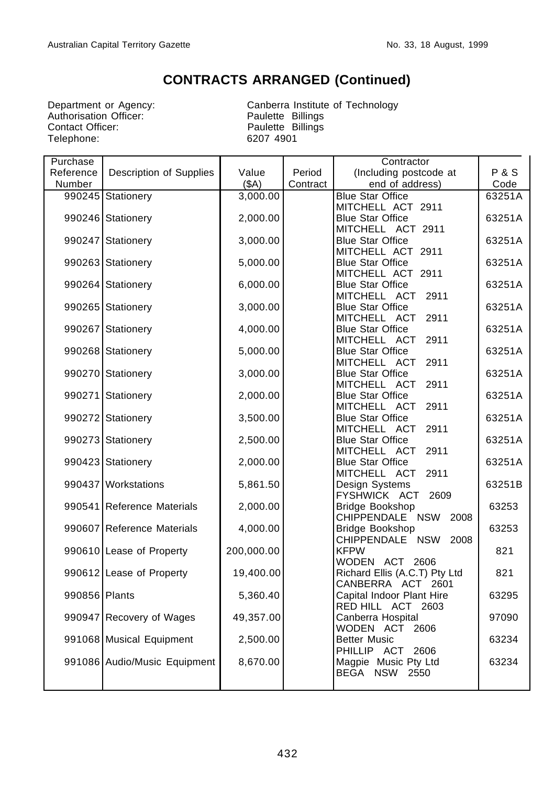## **CONTRACTS ARRANGED (Continued)**

Department or Agency:<br>Authorisation Officer:<br>Contact Officer: Telephone: 6207 4901

Canberra Institute of Technology<br>Paulette Billings Paulette Billings

| Purchase      |                              |            |          | Contractor                                      |                |
|---------------|------------------------------|------------|----------|-------------------------------------------------|----------------|
| Reference     | Description of Supplies      | Value      | Period   | (Including postcode at                          | <b>P&amp;S</b> |
| Number        |                              | (SA)       | Contract | end of address)                                 | Code           |
|               | 990245 Stationery            | 3,000.00   |          | <b>Blue Star Office</b>                         | 63251A         |
|               |                              |            |          | MITCHELL ACT 2911                               |                |
|               | 990246 Stationery            | 2,000.00   |          | <b>Blue Star Office</b>                         | 63251A         |
|               |                              |            |          | MITCHELL ACT 2911                               |                |
|               | 990247 Stationery            | 3,000.00   |          | <b>Blue Star Office</b>                         | 63251A         |
|               |                              |            |          | MITCHELL ACT 2911                               |                |
|               | 990263 Stationery            | 5,000.00   |          | <b>Blue Star Office</b>                         | 63251A         |
|               |                              |            |          | MITCHELL ACT 2911                               |                |
|               | 990264 Stationery            | 6,000.00   |          | <b>Blue Star Office</b>                         | 63251A         |
|               |                              |            |          | MITCHELL ACT<br>2911                            |                |
|               | 990265 Stationery            | 3,000.00   |          | <b>Blue Star Office</b>                         | 63251A         |
|               |                              |            |          | MITCHELL ACT<br>2911                            |                |
|               | 990267 Stationery            | 4,000.00   |          | <b>Blue Star Office</b>                         | 63251A         |
|               |                              |            |          | MITCHELL ACT<br>2911                            |                |
|               | 990268 Stationery            | 5,000.00   |          | <b>Blue Star Office</b>                         | 63251A         |
|               |                              |            |          | MITCHELL ACT<br>2911                            |                |
|               | 990270 Stationery            | 3,000.00   |          | <b>Blue Star Office</b>                         | 63251A         |
|               |                              |            |          | MITCHELL ACT<br>2911                            |                |
|               | 990271 Stationery            | 2,000.00   |          | <b>Blue Star Office</b>                         | 63251A         |
|               |                              |            |          | MITCHELL ACT<br>2911                            |                |
|               | 990272 Stationery            | 3,500.00   |          | <b>Blue Star Office</b>                         | 63251A         |
|               |                              |            |          | MITCHELL ACT<br>2911                            |                |
|               | 990273 Stationery            | 2,500.00   |          | <b>Blue Star Office</b>                         | 63251A         |
|               |                              |            |          | MITCHELL ACT<br>2911                            |                |
|               | 990423 Stationery            | 2,000.00   |          | <b>Blue Star Office</b><br>MITCHELL ACT<br>2911 | 63251A         |
|               | 990437 Workstations          | 5,861.50   |          | Design Systems                                  | 63251B         |
|               |                              |            |          | FYSHWICK ACT<br>2609                            |                |
|               | 990541 Reference Materials   | 2,000.00   |          | Bridge Bookshop                                 | 63253          |
|               |                              |            |          | CHIPPENDALE NSW<br>2008                         |                |
|               | 990607 Reference Materials   | 4,000.00   |          | <b>Bridge Bookshop</b>                          | 63253          |
|               |                              |            |          | CHIPPENDALE NSW<br>2008                         |                |
|               | 990610 Lease of Property     | 200,000.00 |          | <b>KFPW</b>                                     | 821            |
|               |                              |            |          | WODEN ACT 2606                                  |                |
|               | 990612 Lease of Property     | 19,400.00  |          | Richard Ellis (A.C.T) Pty Ltd                   | 821            |
|               |                              |            |          | CANBERRA ACT 2601                               |                |
| 990856 Plants |                              | 5,360.40   |          | Capital Indoor Plant Hire                       | 63295          |
|               |                              |            |          | RED HILL ACT 2603                               |                |
|               | 990947 Recovery of Wages     | 49,357.00  |          | Canberra Hospital                               | 97090          |
|               |                              |            |          | WODEN ACT 2606                                  |                |
|               | 991068 Musical Equipment     | 2,500.00   |          | <b>Better Music</b>                             | 63234          |
|               |                              |            |          | PHILLIP ACT 2606                                |                |
|               | 991086 Audio/Music Equipment | 8,670.00   |          | Magpie Music Pty Ltd                            | 63234          |
|               |                              |            |          | BEGA NSW<br>2550                                |                |
|               |                              |            |          |                                                 |                |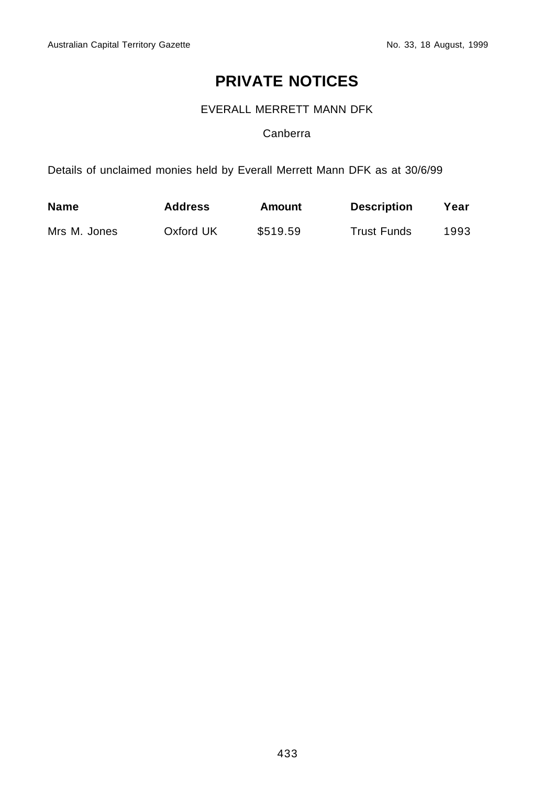# **PRIVATE NOTICES**

EVERALL MERRETT MANN DFK

## Canberra

Details of unclaimed monies held by Everall Merrett Mann DFK as at 30/6/99

| <b>Name</b>  | <b>Address</b> | Amount   | <b>Description</b> | Year |
|--------------|----------------|----------|--------------------|------|
| Mrs M. Jones | Oxford UK      | \$519.59 | <b>Trust Funds</b> | 1993 |